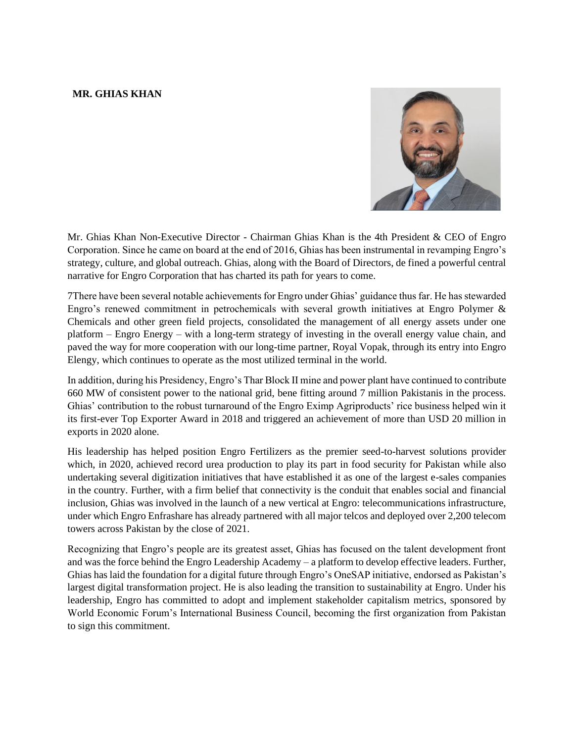## **MR. GHIAS KHAN**



Mr. Ghias Khan Non-Executive Director - Chairman Ghias Khan is the 4th President & CEO of Engro Corporation. Since he came on board at the end of 2016, Ghias has been instrumental in revamping Engro's strategy, culture, and global outreach. Ghias, along with the Board of Directors, de fined a powerful central narrative for Engro Corporation that has charted its path for years to come.

7There have been several notable achievements for Engro under Ghias' guidance thus far. He has stewarded Engro's renewed commitment in petrochemicals with several growth initiatives at Engro Polymer & Chemicals and other green field projects, consolidated the management of all energy assets under one platform – Engro Energy – with a long-term strategy of investing in the overall energy value chain, and paved the way for more cooperation with our long-time partner, Royal Vopak, through its entry into Engro Elengy, which continues to operate as the most utilized terminal in the world.

In addition, during his Presidency, Engro's Thar Block II mine and power plant have continued to contribute 660 MW of consistent power to the national grid, bene fitting around 7 million Pakistanis in the process. Ghias' contribution to the robust turnaround of the Engro Eximp Agriproducts' rice business helped win it its first-ever Top Exporter Award in 2018 and triggered an achievement of more than USD 20 million in exports in 2020 alone.

His leadership has helped position Engro Fertilizers as the premier seed-to-harvest solutions provider which, in 2020, achieved record urea production to play its part in food security for Pakistan while also undertaking several digitization initiatives that have established it as one of the largest e-sales companies in the country. Further, with a firm belief that connectivity is the conduit that enables social and financial inclusion, Ghias was involved in the launch of a new vertical at Engro: telecommunications infrastructure, under which Engro Enfrashare has already partnered with all major telcos and deployed over 2,200 telecom towers across Pakistan by the close of 2021.

Recognizing that Engro's people are its greatest asset, Ghias has focused on the talent development front and was the force behind the Engro Leadership Academy – a platform to develop effective leaders. Further, Ghias has laid the foundation for a digital future through Engro's OneSAP initiative, endorsed as Pakistan's largest digital transformation project. He is also leading the transition to sustainability at Engro. Under his leadership, Engro has committed to adopt and implement stakeholder capitalism metrics, sponsored by World Economic Forum's International Business Council, becoming the first organization from Pakistan to sign this commitment.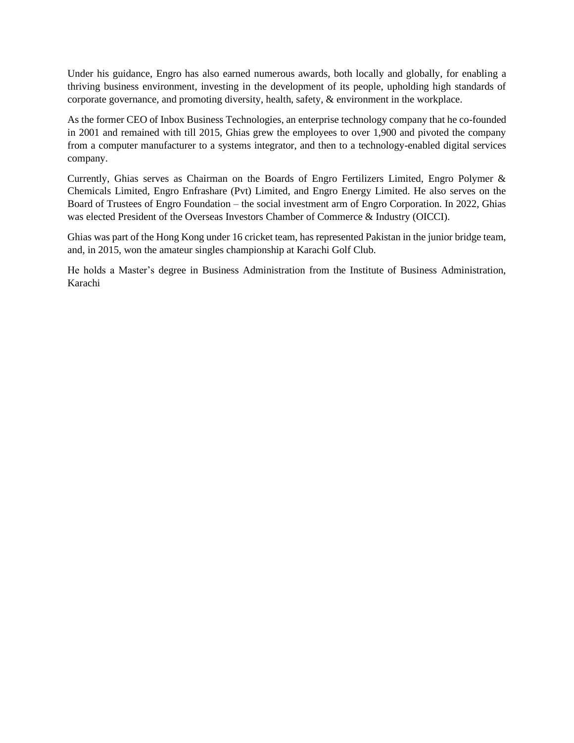Under his guidance, Engro has also earned numerous awards, both locally and globally, for enabling a thriving business environment, investing in the development of its people, upholding high standards of corporate governance, and promoting diversity, health, safety, & environment in the workplace.

As the former CEO of Inbox Business Technologies, an enterprise technology company that he co-founded in 2001 and remained with till 2015, Ghias grew the employees to over 1,900 and pivoted the company from a computer manufacturer to a systems integrator, and then to a technology-enabled digital services company.

Currently, Ghias serves as Chairman on the Boards of Engro Fertilizers Limited, Engro Polymer & Chemicals Limited, Engro Enfrashare (Pvt) Limited, and Engro Energy Limited. He also serves on the Board of Trustees of Engro Foundation – the social investment arm of Engro Corporation. In 2022, Ghias was elected President of the Overseas Investors Chamber of Commerce & Industry (OICCI).

Ghias was part of the Hong Kong under 16 cricket team, has represented Pakistan in the junior bridge team, and, in 2015, won the amateur singles championship at Karachi Golf Club.

He holds a Master's degree in Business Administration from the Institute of Business Administration, Karachi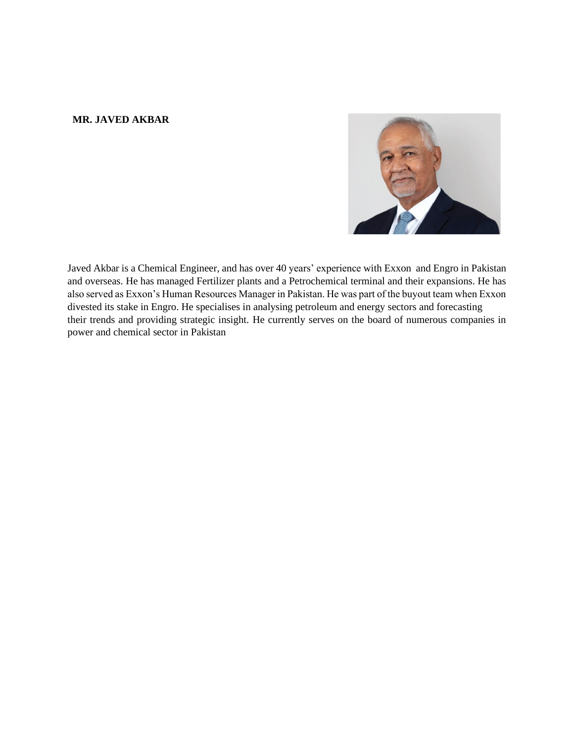## **MR. JAVED AKBAR**



Javed Akbar is a Chemical Engineer, and has over 40 years' experience with Exxon and Engro in Pakistan and overseas. He has managed Fertilizer plants and a Petrochemical terminal and their expansions. He has also served as Exxon's Human Resources Manager in Pakistan. He was part of the buyout team when Exxon divested its stake in Engro. He specialises in analysing petroleum and energy sectors and forecasting their trends and providing strategic insight. He currently serves on the board of numerous companies in power and chemical sector in Pakistan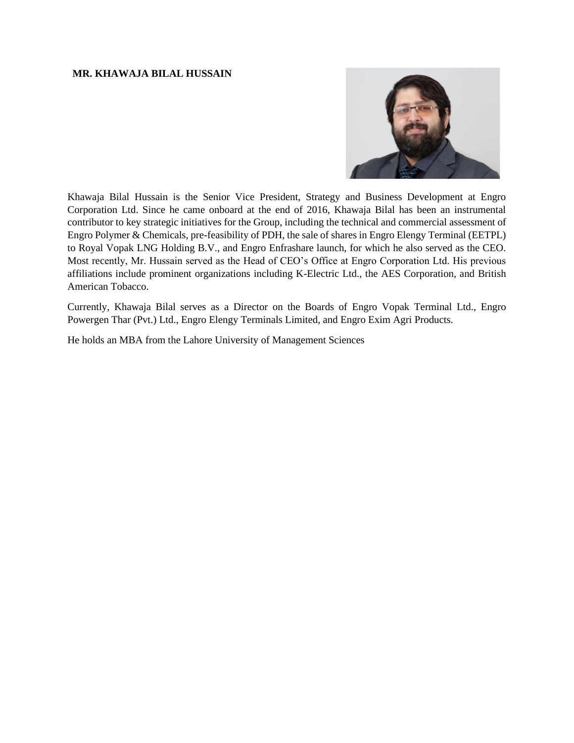#### **MR. KHAWAJA BILAL HUSSAIN**



Khawaja Bilal Hussain is the Senior Vice President, Strategy and Business Development at Engro Corporation Ltd. Since he came onboard at the end of 2016, Khawaja Bilal has been an instrumental contributor to key strategic initiatives for the Group, including the technical and commercial assessment of Engro Polymer & Chemicals, pre-feasibility of PDH, the sale of shares in Engro Elengy Terminal (EETPL) to Royal Vopak LNG Holding B.V., and Engro Enfrashare launch, for which he also served as the CEO. Most recently, Mr. Hussain served as the Head of CEO's Office at Engro Corporation Ltd. His previous affiliations include prominent organizations including K-Electric Ltd., the AES Corporation, and British American Tobacco.

Currently, Khawaja Bilal serves as a Director on the Boards of Engro Vopak Terminal Ltd., Engro Powergen Thar (Pvt.) Ltd., Engro Elengy Terminals Limited, and Engro Exim Agri Products.

He holds an MBA from the Lahore University of Management Sciences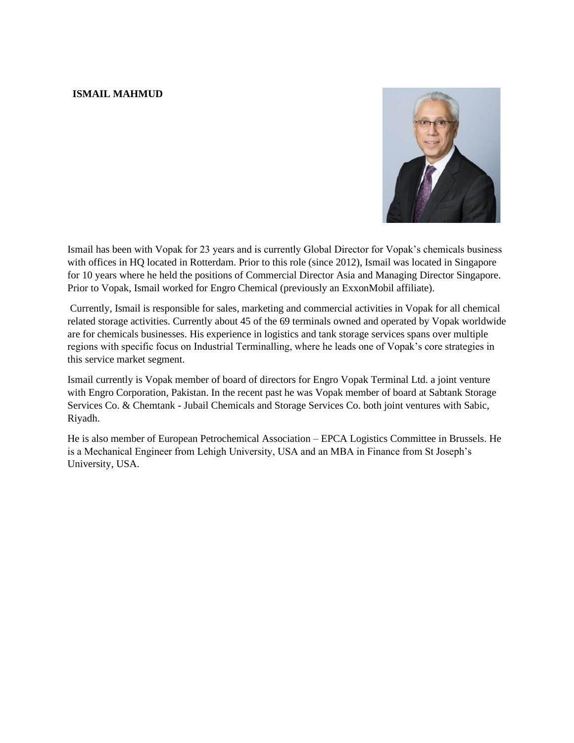# **ISMAIL MAHMUD**



Ismail has been with Vopak for 23 years and is currently Global Director for Vopak's chemicals business with offices in HQ located in Rotterdam. Prior to this role (since 2012), Ismail was located in Singapore for 10 years where he held the positions of Commercial Director Asia and Managing Director Singapore. Prior to Vopak, Ismail worked for Engro Chemical (previously an ExxonMobil affiliate).

Currently, Ismail is responsible for sales, marketing and commercial activities in Vopak for all chemical related storage activities. Currently about 45 of the 69 terminals owned and operated by Vopak worldwide are for chemicals businesses. His experience in logistics and tank storage services spans over multiple regions with specific focus on Industrial Terminalling, where he leads one of Vopak's core strategies in this service market segment.

Ismail currently is Vopak member of board of directors for Engro Vopak Terminal Ltd. a joint venture with Engro Corporation, Pakistan. In the recent past he was Vopak member of board at Sabtank Storage Services Co. & Chemtank - Jubail Chemicals and Storage Services Co. both joint ventures with Sabic, Riyadh.

He is also member of European Petrochemical Association – EPCA Logistics Committee in Brussels. He is a Mechanical Engineer from Lehigh University, USA and an MBA in Finance from St Joseph's University, USA.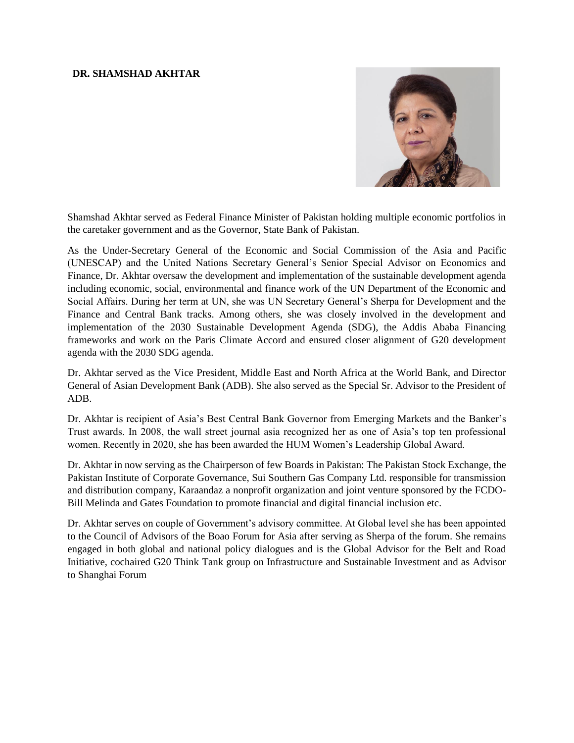## **DR. SHAMSHAD AKHTAR**



Shamshad Akhtar served as Federal Finance Minister of Pakistan holding multiple economic portfolios in the caretaker government and as the Governor, State Bank of Pakistan.

As the Under-Secretary General of the Economic and Social Commission of the Asia and Pacific (UNESCAP) and the United Nations Secretary General's Senior Special Advisor on Economics and Finance, Dr. Akhtar oversaw the development and implementation of the sustainable development agenda including economic, social, environmental and finance work of the UN Department of the Economic and Social Affairs. During her term at UN, she was UN Secretary General's Sherpa for Development and the Finance and Central Bank tracks. Among others, she was closely involved in the development and implementation of the 2030 Sustainable Development Agenda (SDG), the Addis Ababa Financing frameworks and work on the Paris Climate Accord and ensured closer alignment of G20 development agenda with the 2030 SDG agenda.

Dr. Akhtar served as the Vice President, Middle East and North Africa at the World Bank, and Director General of Asian Development Bank (ADB). She also served as the Special Sr. Advisor to the President of ADB.

Dr. Akhtar is recipient of Asia's Best Central Bank Governor from Emerging Markets and the Banker's Trust awards. In 2008, the wall street journal asia recognized her as one of Asia's top ten professional women. Recently in 2020, she has been awarded the HUM Women's Leadership Global Award.

Dr. Akhtar in now serving as the Chairperson of few Boards in Pakistan: The Pakistan Stock Exchange, the Pakistan Institute of Corporate Governance, Sui Southern Gas Company Ltd. responsible for transmission and distribution company, Karaandaz a nonprofit organization and joint venture sponsored by the FCDO-Bill Melinda and Gates Foundation to promote financial and digital financial inclusion etc.

Dr. Akhtar serves on couple of Government's advisory committee. At Global level she has been appointed to the Council of Advisors of the Boao Forum for Asia after serving as Sherpa of the forum. She remains engaged in both global and national policy dialogues and is the Global Advisor for the Belt and Road Initiative, cochaired G20 Think Tank group on Infrastructure and Sustainable Investment and as Advisor to Shanghai Forum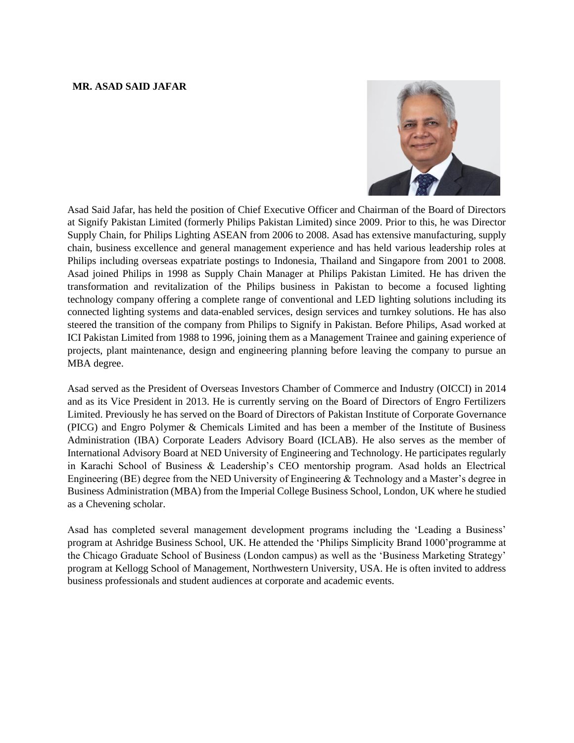### **MR. ASAD SAID JAFAR**



Asad Said Jafar, has held the position of Chief Executive Officer and Chairman of the Board of Directors at Signify Pakistan Limited (formerly Philips Pakistan Limited) since 2009. Prior to this, he was Director Supply Chain, for Philips Lighting ASEAN from 2006 to 2008. Asad has extensive manufacturing, supply chain, business excellence and general management experience and has held various leadership roles at Philips including overseas expatriate postings to Indonesia, Thailand and Singapore from 2001 to 2008. Asad joined Philips in 1998 as Supply Chain Manager at Philips Pakistan Limited. He has driven the transformation and revitalization of the Philips business in Pakistan to become a focused lighting technology company offering a complete range of conventional and LED lighting solutions including its connected lighting systems and data-enabled services, design services and turnkey solutions. He has also steered the transition of the company from Philips to Signify in Pakistan. Before Philips, Asad worked at ICI Pakistan Limited from 1988 to 1996, joining them as a Management Trainee and gaining experience of projects, plant maintenance, design and engineering planning before leaving the company to pursue an MBA degree.

Asad served as the President of Overseas Investors Chamber of Commerce and Industry (OICCI) in 2014 and as its Vice President in 2013. He is currently serving on the Board of Directors of Engro Fertilizers Limited. Previously he has served on the Board of Directors of Pakistan Institute of Corporate Governance (PICG) and Engro Polymer & Chemicals Limited and has been a member of the Institute of Business Administration (IBA) Corporate Leaders Advisory Board (ICLAB). He also serves as the member of International Advisory Board at NED University of Engineering and Technology. He participates regularly in Karachi School of Business & Leadership's CEO mentorship program. Asad holds an Electrical Engineering (BE) degree from the NED University of Engineering & Technology and a Master's degree in Business Administration (MBA) from the Imperial College Business School, London, UK where he studied as a Chevening scholar.

Asad has completed several management development programs including the 'Leading a Business' program at Ashridge Business School, UK. He attended the 'Philips Simplicity Brand 1000'programme at the Chicago Graduate School of Business (London campus) as well as the 'Business Marketing Strategy' program at Kellogg School of Management, Northwestern University, USA. He is often invited to address business professionals and student audiences at corporate and academic events.